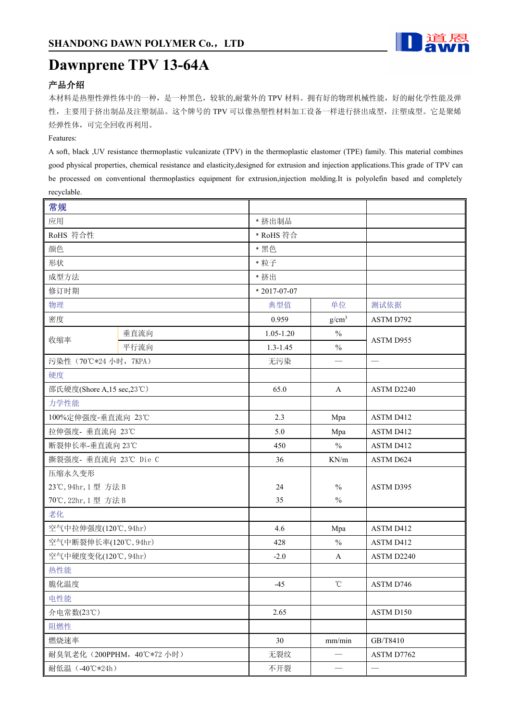

# **Dawnprene TPV 13-64A**

## 产品介绍

本材料是热塑性弹性体中的一种,是一种黑色,较软的,耐紫外的 TPV 材料。拥有好的物理机械性能,好的耐化学性能及弹 性,主要用于挤出制品及注塑制品。这个牌号的 TPV 可以像热塑性材料加工设备一样进行挤出成型,注塑成型。它是聚烯 烃弹性体,可完全回收再利用。

#### Features:

A soft, black ,UV resistance thermoplastic vulcanizate (TPV) in the thermoplastic elastomer (TPE) family. This material combines good physical properties, chemical resistance and elasticity,designed for extrusion and injection applications.This grade of TPV can be processed on conventional thermoplastics equipment for extrusion,injection molding.It is polyolefin based and completely recyclable.

| 常规                         |      |               |                   |            |
|----------------------------|------|---------------|-------------------|------------|
| 应用                         |      | * 挤出制品        |                   |            |
| RoHS 符合性                   |      | * RoHS 符合     |                   |            |
| 颜色                         |      | * 黑色          |                   |            |
| 形状                         |      | * 粒子          |                   |            |
| 成型方法                       |      | * 挤出          |                   |            |
| 修订时期                       |      | $*2017-07-07$ |                   |            |
| 物理                         |      | 典型值           | 单位                | 测试依据       |
| 密度                         |      | 0.959         | $g/cm^3$          | ASTM D792  |
|                            | 垂直流向 | $1.05 - 1.20$ | $\frac{0}{0}$     | ASTM D955  |
| 收缩率                        | 平行流向 | $1.3 - 1.45$  | $\frac{0}{0}$     |            |
| 污染性 (70℃*24 小时, 7KPA)      |      | 无污染           | $\qquad \qquad$   |            |
| 硬度                         |      |               |                   |            |
| 邵氏硬度(Shore A,15 sec,23°C)  |      | 65.0          | $\mathbf{A}$      | ASTM D2240 |
| 力学性能                       |      |               |                   |            |
| 100%定伸强度-垂直流向 23℃          |      | 2.3           | Mpa               | ASTM D412  |
| 拉伸强度- 垂直流向 23℃             |      | 5.0           | Mpa               | ASTM D412  |
| 断裂伸长率-垂直流向 23℃             |      | 450           | $\frac{0}{0}$     | ASTM D412  |
| 撕裂强度- 垂直流向 23℃ Die C       |      | 36            | KN/m              | ASTM D624  |
| 压缩永久变形                     |      |               |                   |            |
| 23℃, 94hr, 1型 方法 B         |      | 24            | $\%$              | ASTM D395  |
| 70℃, 22hr, 1型 方法 B         |      | 35            | $\%$              |            |
| 老化                         |      |               |                   |            |
| 空气中拉伸强度(120℃, 94hr)        |      | 4.6           | Mpa               | ASTM D412  |
| 空气中断裂伸长率(120℃, 94hr)       |      | 428           | $\frac{0}{0}$     | ASTM D412  |
| 空气中硬度变化(120℃, 94hr)        |      | $-2.0$        | $\mathbf{A}$      | ASTM D2240 |
| 热性能                        |      |               |                   |            |
| 脆化温度                       |      | $-45$         | $^\circ\!{\rm C}$ | ASTM D746  |
| 电性能                        |      |               |                   |            |
| 介电常数(23℃)                  |      | 2.65          |                   | ASTM D150  |
| 阻燃性                        |      |               |                   |            |
| 燃烧速率                       |      | 30            | mm/min            | GB/T8410   |
| 耐臭氧老化 (200PPHM, 40℃*72 小时) |      | 无裂纹           |                   | ASTM D7762 |
| 耐低温 (-40℃*24h)             |      | 不开裂           | $\qquad \qquad$   |            |